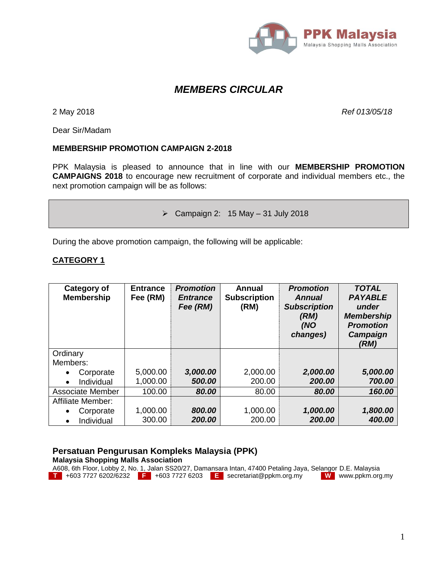

## *MEMBERS CIRCULAR*

2 May 2018 *Ref 013/05/18*

Dear Sir/Madam

#### **MEMBERSHIP PROMOTION CAMPAIGN 2-2018**

PPK Malaysia is pleased to announce that in line with our **MEMBERSHIP PROMOTION CAMPAIGNS 2018** to encourage new recruitment of corporate and individual members etc., the next promotion campaign will be as follows:

 $\triangleright$  Campaign 2: 15 May - 31 July 2018

During the above promotion campaign, the following will be applicable:

## **CATEGORY 1**

| Category of<br><b>Membership</b> | <b>Entrance</b><br>Fee (RM) | <b>Promotion</b><br><b>Entrance</b><br>Fee (RM) | Annual<br><b>Subscription</b><br>(RM) | <b>Promotion</b><br>Annual<br><b>Subscription</b><br>(RM)<br>(NO<br>changes) | <b>TOTAL</b><br><b>PAYABLE</b><br>under<br><b>Membership</b><br><b>Promotion</b><br>Campaign<br>(RM) |
|----------------------------------|-----------------------------|-------------------------------------------------|---------------------------------------|------------------------------------------------------------------------------|------------------------------------------------------------------------------------------------------|
| Ordinary                         |                             |                                                 |                                       |                                                                              |                                                                                                      |
| Members:                         |                             |                                                 |                                       |                                                                              |                                                                                                      |
| Corporate                        | 5,000.00                    | 3,000.00                                        | 2,000.00                              | 2,000.00                                                                     | 5,000.00                                                                                             |
| Individual<br>$\bullet$          | 1,000.00                    | 500.00                                          | 200.00                                | 200.00                                                                       | 700.00                                                                                               |
| Associate Member                 | 100.00                      | 80.00                                           | 80.00                                 | 80.00                                                                        | 160.00                                                                                               |
| <b>Affiliate Member:</b>         |                             |                                                 |                                       |                                                                              |                                                                                                      |
| Corporate                        | 1,000.00                    | 800.00                                          | 1,000.00                              | 1,000.00                                                                     | 1,800.00                                                                                             |
| Individual<br>$\bullet$          | 300.00                      | 200.00                                          | 200.00                                | 200.00                                                                       | 400.00                                                                                               |

# **Persatuan Pengurusan Kompleks Malaysia (PPK)**

**Malaysia Shopping Malls Association**

A608, 6th Floor, Lobby 2, No. 1, Jalan SS20/27, Damansara Intan, 47400 Petaling Jaya, Selangor D.E. Malaysia **T** +603 7727 6202/6232 **F** +603 7727 6203 **E** secretariat@ppkm.org.my **W** www.ppkm.org.my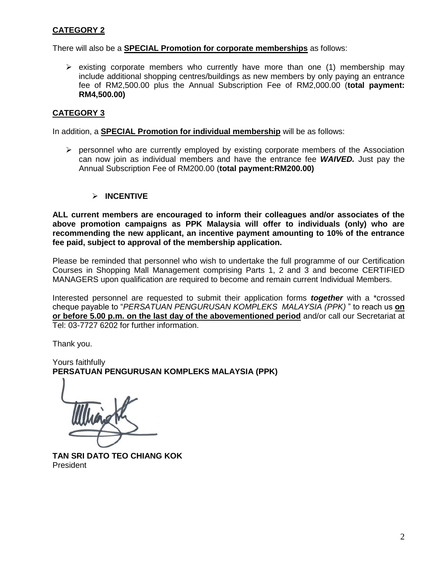## **CATEGORY 2**

There will also be a **SPECIAL Promotion for corporate memberships** as follows:

 $\triangleright$  existing corporate members who currently have more than one (1) membership may include additional shopping centres/buildings as new members by only paying an entrance fee of RM2,500.00 plus the Annual Subscription Fee of RM2,000.00 (**total payment: RM4,500.00)**

## **CATEGORY 3**

In addition, a **SPECIAL Promotion for individual membership** will be as follows:

 $\triangleright$  personnel who are currently employed by existing corporate members of the Association can now join as individual members and have the entrance fee *WAIVED.* Just pay the Annual Subscription Fee of RM200.00 (**total payment:RM200.00)**

#### **INCENTIVE**

**ALL current members are encouraged to inform their colleagues and/or associates of the above promotion campaigns as PPK Malaysia will offer to individuals (only) who are recommending the new applicant, an incentive payment amounting to 10% of the entrance fee paid, subject to approval of the membership application.**

Please be reminded that personnel who wish to undertake the full programme of our Certification Courses in Shopping Mall Management comprising Parts 1, 2 and 3 and become CERTIFIED MANAGERS upon qualification are required to become and remain current Individual Members.

Interested personnel are requested to submit their application forms *together* with a \*crossed cheque payable to "*PERSATUAN PENGURUSAN KOMPLEKS MALAYSIA (PPK)* " to reach us **on or before 5.00 p.m. on the last day of the abovementioned period** and/or call our Secretariat at Tel: 03-7727 6202 for further information.

Thank you.

Yours faithfully **PERSATUAN PENGURUSAN KOMPLEKS MALAYSIA (PPK)** 

**TAN SRI DATO TEO CHIANG KOK** President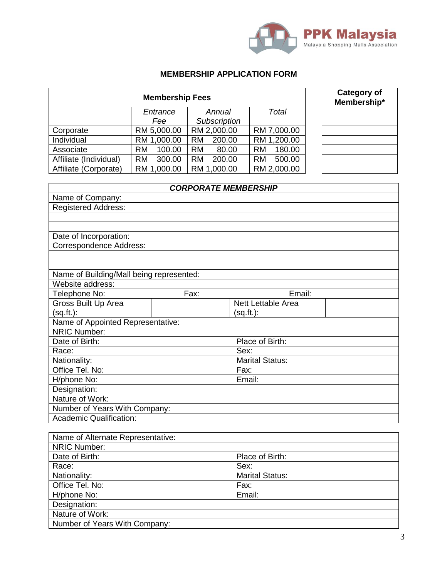

## **MEMBERSHIP APPLICATION FORM**

|                                                          | <b>Category of</b><br>Membership*         |                     |                        |  |  |  |  |
|----------------------------------------------------------|-------------------------------------------|---------------------|------------------------|--|--|--|--|
|                                                          | Entrance                                  | Annual              | <b>Total</b>           |  |  |  |  |
| Fee                                                      |                                           | Subscription        |                        |  |  |  |  |
| Corporate                                                | RM 5,000.00                               | RM 2,000.00         | RM 7,000.00            |  |  |  |  |
| Individual                                               | RM 1,000.00                               | RM 200.00           | RM 1,200.00            |  |  |  |  |
| Associate                                                | <b>RM</b><br>100.00                       | 80.00<br><b>RM</b>  | 180.00<br><b>RM</b>    |  |  |  |  |
| Affiliate (Individual)                                   | 300.00<br><b>RM</b>                       | <b>RM</b><br>200.00 | 500.00<br><b>RM</b>    |  |  |  |  |
| Affiliate (Corporate)                                    | RM 1,000.00                               | RM 1,000.00         | RM 2,000.00            |  |  |  |  |
| <b>CORPORATE MEMBERSHIP</b>                              |                                           |                     |                        |  |  |  |  |
| Name of Company:                                         |                                           |                     |                        |  |  |  |  |
| <b>Registered Address:</b>                               |                                           |                     |                        |  |  |  |  |
|                                                          |                                           |                     |                        |  |  |  |  |
|                                                          |                                           |                     |                        |  |  |  |  |
| Date of Incorporation:                                   |                                           |                     |                        |  |  |  |  |
| <b>Correspondence Address:</b>                           |                                           |                     |                        |  |  |  |  |
|                                                          |                                           |                     |                        |  |  |  |  |
|                                                          |                                           |                     |                        |  |  |  |  |
| Name of Building/Mall being represented:                 |                                           |                     |                        |  |  |  |  |
| Website address:                                         |                                           |                     |                        |  |  |  |  |
| Telephone No:                                            | Email:<br>Fax:                            |                     |                        |  |  |  |  |
| Gross Built Up Area<br>(sq.ft.):                         | <b>Nett Lettable Area</b><br>$(sq.fr.)$ : |                     |                        |  |  |  |  |
| Name of Appointed Representative:                        |                                           |                     |                        |  |  |  |  |
| <b>NRIC Number:</b>                                      |                                           |                     |                        |  |  |  |  |
| Date of Birth:                                           |                                           |                     | Place of Birth:        |  |  |  |  |
| Race:                                                    | Sex:                                      |                     |                        |  |  |  |  |
| Nationality:<br><b>Marital Status:</b>                   |                                           |                     |                        |  |  |  |  |
| Office Tel. No:<br>Fax:                                  |                                           |                     |                        |  |  |  |  |
| H/phone No:<br>Email:                                    |                                           |                     |                        |  |  |  |  |
| Designation:                                             |                                           |                     |                        |  |  |  |  |
| Nature of Work:                                          |                                           |                     |                        |  |  |  |  |
| Number of Years With Company:                            |                                           |                     |                        |  |  |  |  |
| Academic Qualification:                                  |                                           |                     |                        |  |  |  |  |
|                                                          |                                           |                     |                        |  |  |  |  |
| Name of Alternate Representative:<br><b>NRIC Number:</b> |                                           |                     |                        |  |  |  |  |
| Date of Birth:<br>Place of Birth:                        |                                           |                     |                        |  |  |  |  |
| Race:<br>Sex:                                            |                                           |                     |                        |  |  |  |  |
| Nationality:                                             |                                           |                     | <b>Marital Status:</b> |  |  |  |  |
| Office Tel. No:                                          |                                           |                     | Fax:                   |  |  |  |  |
| H/phone No:                                              |                                           |                     | Email:                 |  |  |  |  |

Designation: Nature of Work:

Number of Years With Company: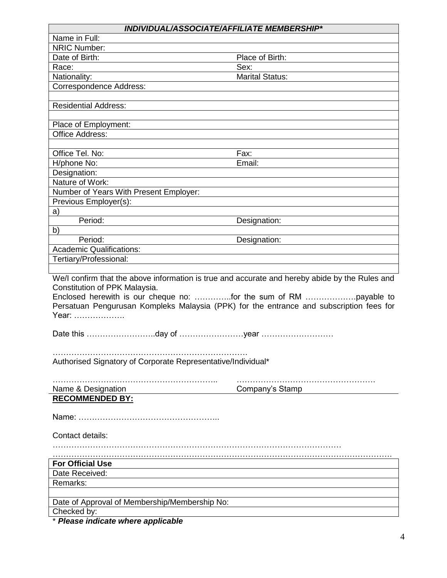| <b>INDIVIDUAL/ASSOCIATE/AFFILIATE MEMBERSHIP*</b> |  |
|---------------------------------------------------|--|
|---------------------------------------------------|--|

| <b>INDIVIDUAL/ASSOCIATE/AFFILIATE MEMBERSHIP*</b>                                              |                        |  |  |  |  |
|------------------------------------------------------------------------------------------------|------------------------|--|--|--|--|
| Name in Full:                                                                                  |                        |  |  |  |  |
| <b>NRIC Number:</b>                                                                            |                        |  |  |  |  |
| Date of Birth:                                                                                 | Place of Birth:        |  |  |  |  |
| Race:                                                                                          | Sex:                   |  |  |  |  |
| Nationality:                                                                                   | <b>Marital Status:</b> |  |  |  |  |
| Correspondence Address:                                                                        |                        |  |  |  |  |
|                                                                                                |                        |  |  |  |  |
| <b>Residential Address:</b>                                                                    |                        |  |  |  |  |
|                                                                                                |                        |  |  |  |  |
| Place of Employment:                                                                           |                        |  |  |  |  |
| <b>Office Address:</b>                                                                         |                        |  |  |  |  |
|                                                                                                |                        |  |  |  |  |
| Office Tel. No:                                                                                | Fax:                   |  |  |  |  |
| H/phone No:                                                                                    | Email:                 |  |  |  |  |
| Designation:                                                                                   |                        |  |  |  |  |
| Nature of Work:                                                                                |                        |  |  |  |  |
| Number of Years With Present Employer:                                                         |                        |  |  |  |  |
| Previous Employer(s):                                                                          |                        |  |  |  |  |
| a)                                                                                             |                        |  |  |  |  |
| Period:                                                                                        | Designation:           |  |  |  |  |
| b)                                                                                             |                        |  |  |  |  |
| Period:                                                                                        | Designation:           |  |  |  |  |
| <b>Academic Qualifications:</b>                                                                |                        |  |  |  |  |
| Tertiary/Professional:                                                                         |                        |  |  |  |  |
|                                                                                                |                        |  |  |  |  |
| We/I confirm that the above information is true and accurate and hereby abide by the Rules and |                        |  |  |  |  |
| Constitution of PPK Malaysia.                                                                  |                        |  |  |  |  |
| Enclosed herewith is our cheque no: for the sum of RM payable to                               |                        |  |  |  |  |
| Persatuan Pengurusan Kompleks Malaysia (PPK) for the entrance and subscription fees for        |                        |  |  |  |  |
| Year:                                                                                          |                        |  |  |  |  |
|                                                                                                |                        |  |  |  |  |
|                                                                                                |                        |  |  |  |  |
|                                                                                                |                        |  |  |  |  |
|                                                                                                |                        |  |  |  |  |
| Authorised Signatory of Corporate Representative/Individual*                                   |                        |  |  |  |  |
|                                                                                                |                        |  |  |  |  |
|                                                                                                |                        |  |  |  |  |
| Name & Designation                                                                             | Company's Stamp        |  |  |  |  |
| <b>RECOMMENDED BY:</b>                                                                         |                        |  |  |  |  |
|                                                                                                |                        |  |  |  |  |
|                                                                                                |                        |  |  |  |  |
|                                                                                                |                        |  |  |  |  |
| Contact details:                                                                               |                        |  |  |  |  |
|                                                                                                |                        |  |  |  |  |
|                                                                                                |                        |  |  |  |  |
| <b>For Official Use</b>                                                                        |                        |  |  |  |  |
| Date Received:                                                                                 |                        |  |  |  |  |
| Remarks:                                                                                       |                        |  |  |  |  |
|                                                                                                |                        |  |  |  |  |
| Date of Approval of Membership/Membership No:                                                  |                        |  |  |  |  |
| Checked by:                                                                                    |                        |  |  |  |  |
| * Please indicate where applicable                                                             |                        |  |  |  |  |

4